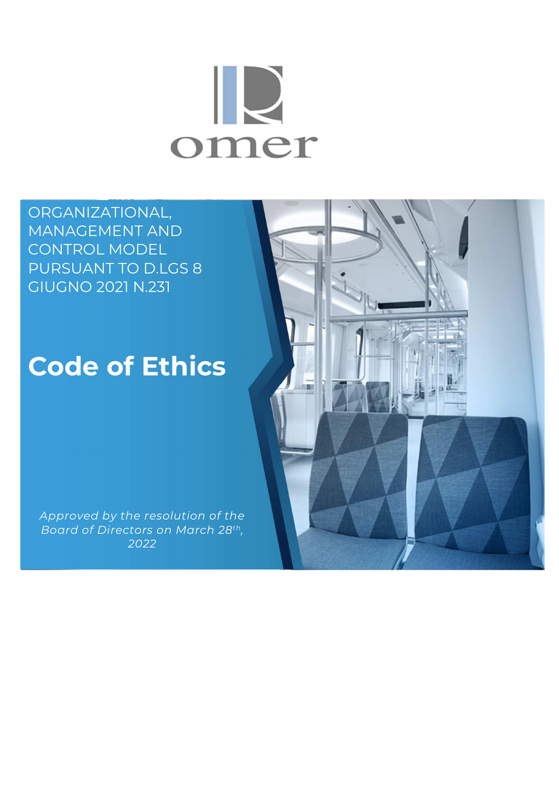# $\mathbb{R}$ omer

ORGANIZATIONAL, MANAGEMENT AND CONTROL MODEL PURSUANT TO D.LGS 8 GIUGNO 2021 N.231

# **Code of Ethics**

*Approved by the resolution of the Board of Directors on March 28th , 2022* 

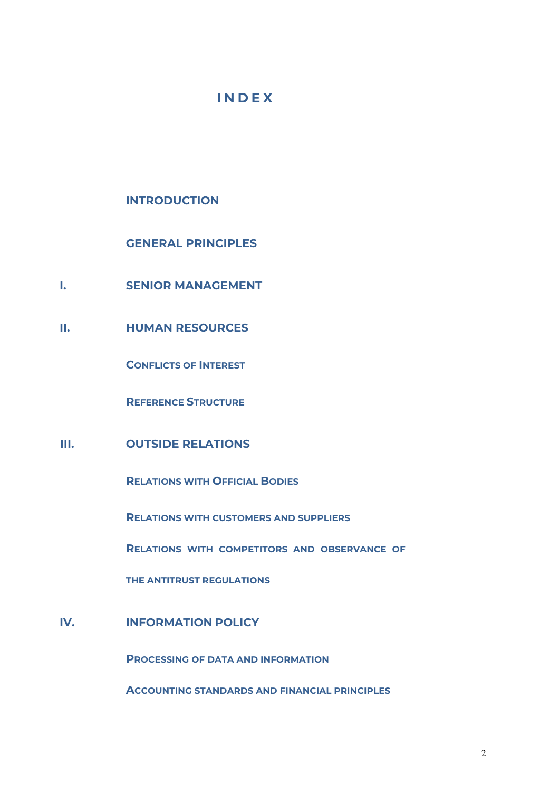# **I N D E X**

**INTRODUCTION** 

 **GENERAL PRINCIPLES**  o

- **I. SENIOR MANAGEMENT**
- **II. HUMAN RESOURCES**

**CONFLICTS OF INTEREST** 

**REFERENCE STRUCTURE**

# **III. OUTSIDE RELATIONS**

**RELATIONS WITH OFFICIAL BODIES**

**RELATIONS WITH CUSTOMERS AND SUPPLIERS**

**RELATIONS WITH COMPETITORS AND OBSERVANCE OF** 

**THE ANTITRUST REGULATIONS**

# **IV. INFORMATION POLICY**

**PROCESSING OF DATA AND INFORMATION**

**ACCOUNTING STANDARDS AND FINANCIAL PRINCIPLES**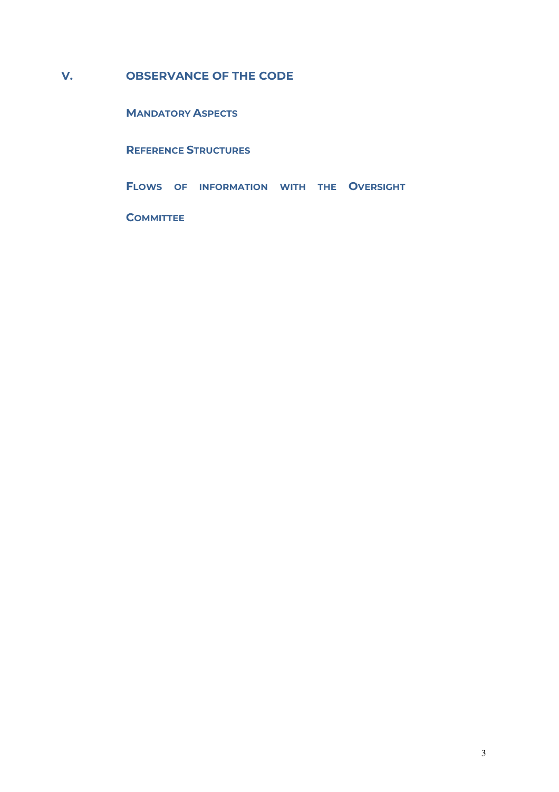# **V. OBSERVANCE OF THE CODE**

**MANDATORY ASPECTS**

**REFERENCE STRUCTURES**

**FLOWS OF INFORMATION WITH THE OVERSIGHT** 

**COMMITTEE**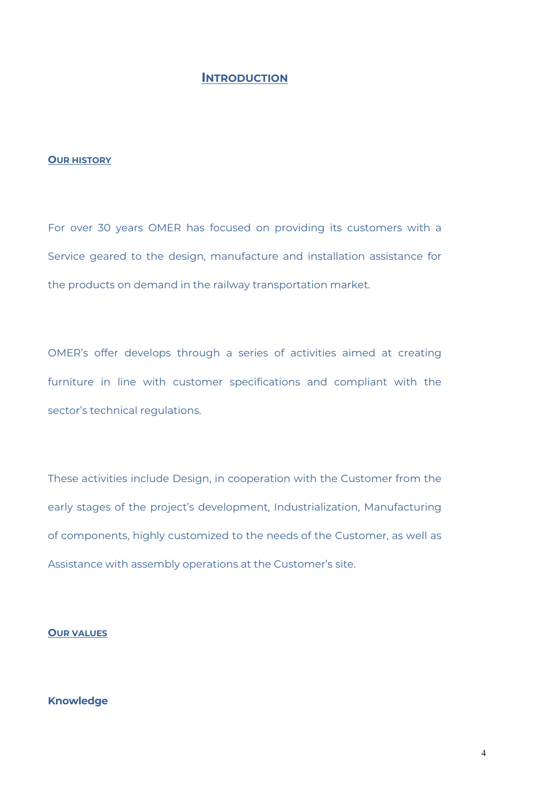# **INTRODUCTION**

### **OUR HISTORY**

For over 30 years OMER has focused on providing its customers with a Service geared to the design, manufacture and installation assistance for the products on demand in the railway transportation market.

OMER's offer develops through a series of activities aimed at creating furniture in line with customer specifications and compliant with the sector's technical regulations.

These activities include Design, in cooperation with the Customer from the early stages of the project's development, Industrialization, Manufacturing of components, highly customized to the needs of the Customer, as well as Assistance with assembly operations at the Customer's site.

#### **OUR VALUES**

# **Knowledge**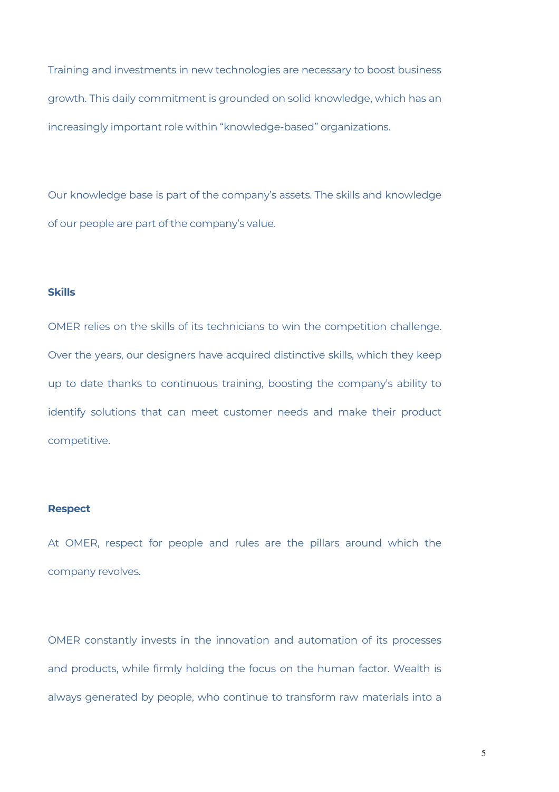Training and investments in new technologies are necessary to boost business growth. This daily commitment is grounded on solid knowledge, which has an increasingly important role within "knowledge-based" organizations.

Our knowledge base is part of the company's assets. The skills and knowledge of our people are part of the company's value.

#### **Skills**

OMER relies on the skills of its technicians to win the competition challenge. Over the years, our designers have acquired distinctive skills, which they keep up to date thanks to continuous training, boosting the company's ability to identify solutions that can meet customer needs and make their product competitive.

# **Respect**

At OMER, respect for people and rules are the pillars around which the company revolves.

OMER constantly invests in the innovation and automation of its processes and products, while firmly holding the focus on the human factor. Wealth is always generated by people, who continue to transform raw materials into a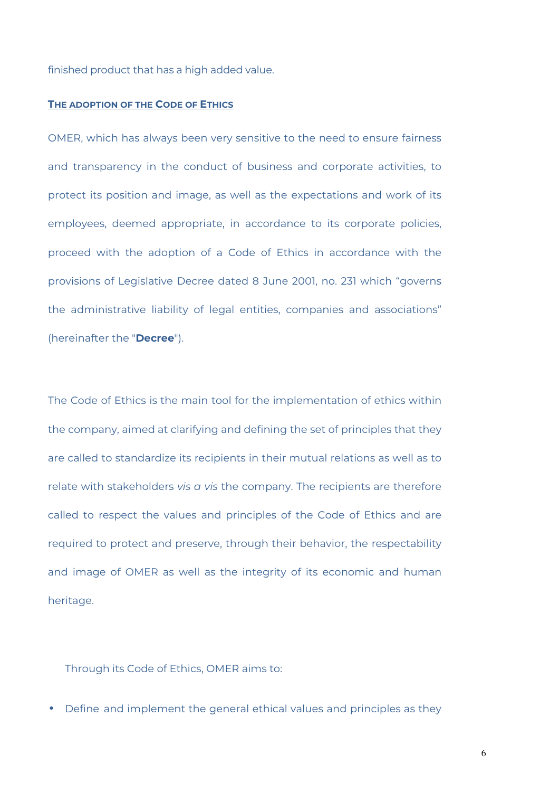finished product that has a high added value.

#### **THE ADOPTION OF THE CODE OF ETHICS**

OMER, which has always been very sensitive to the need to ensure fairness and transparency in the conduct of business and corporate activities, to protect its position and image, as well as the expectations and work of its employees, deemed appropriate, in accordance to its corporate policies, proceed with the adoption of a Code of Ethics in accordance with the provisions of Legislative Decree dated 8 June 2001, no. 231 which "governs the administrative liability of legal entities, companies and associations" (hereinafter the "**Decree**").

The Code of Ethics is the main tool for the implementation of ethics within the company, aimed at clarifying and defining the set of principles that they are called to standardize its recipients in their mutual relations as well as to relate with stakeholders *vis a vis* the company. The recipients are therefore called to respect the values and principles of the Code of Ethics and are required to protect and preserve, through their behavior, the respectability and image of OMER as well as the integrity of its economic and human heritage.

Through its Code of Ethics, OMER aims to:

• Define and implement the general ethical values and principles as they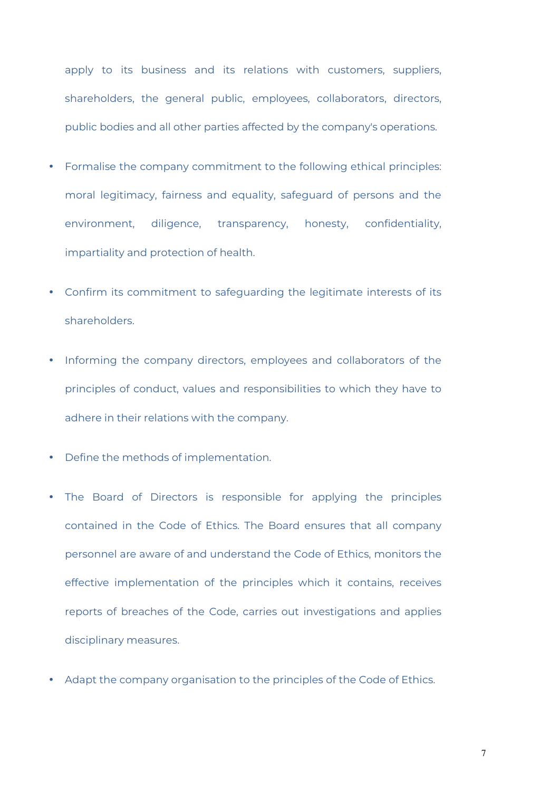apply to its business and its relations with customers, suppliers, shareholders, the general public, employees, collaborators, directors, public bodies and all other parties affected by the company's operations.

- Formalise the company commitment to the following ethical principles: moral legitimacy, fairness and equality, safeguard of persons and the environment, diligence, transparency, honesty, confidentiality, impartiality and protection of health.
- Confirm its commitment to safeguarding the legitimate interests of its shareholders.
- Informing the company directors, employees and collaborators of the principles of conduct, values and responsibilities to which they have to adhere in their relations with the company.
- Define the methods of implementation.
- The Board of Directors is responsible for applying the principles contained in the Code of Ethics. The Board ensures that all company personnel are aware of and understand the Code of Ethics, monitors the effective implementation of the principles which it contains, receives reports of breaches of the Code, carries out investigations and applies disciplinary measures.
- Adapt the company organisation to the principles of the Code of Ethics.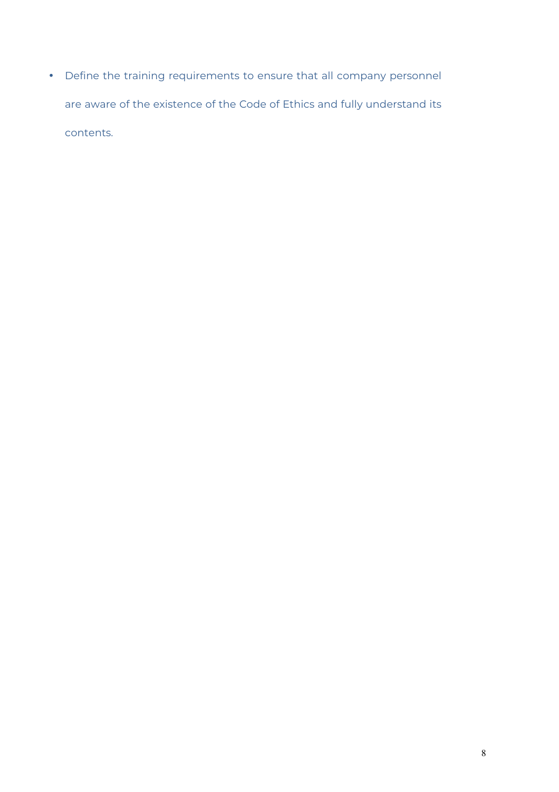• Define the training requirements to ensure that all company personnel are aware of the existence of the Code of Ethics and fully understand its contents.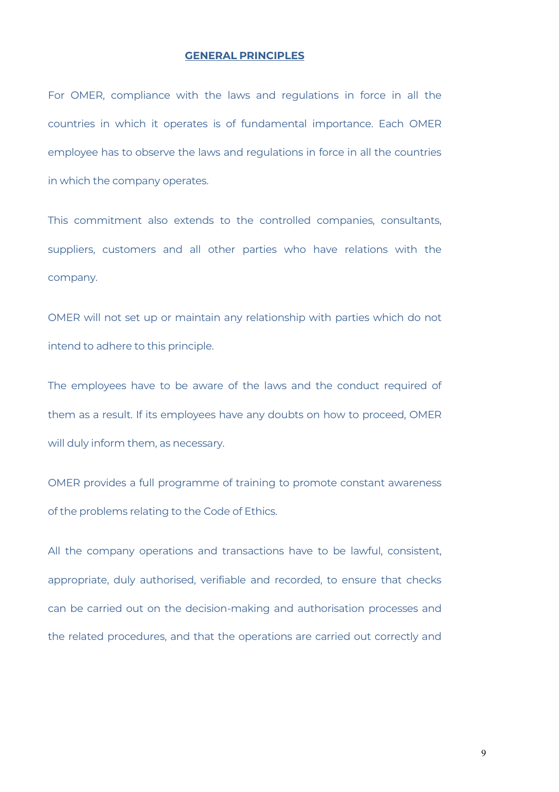#### **GENERAL PRINCIPLES**

For OMER, compliance with the laws and regulations in force in all the countries in which it operates is of fundamental importance. Each OMER employee has to observe the laws and regulations in force in all the countries in which the company operates.

This commitment also extends to the controlled companies, consultants, suppliers, customers and all other parties who have relations with the company.

OMER will not set up or maintain any relationship with parties which do not intend to adhere to this principle.

The employees have to be aware of the laws and the conduct required of them as a result. If its employees have any doubts on how to proceed, OMER will duly inform them, as necessary.

OMER provides a full programme of training to promote constant awareness of the problems relating to the Code of Ethics.

All the company operations and transactions have to be lawful, consistent, appropriate, duly authorised, verifiable and recorded, to ensure that checks can be carried out on the decision-making and authorisation processes and the related procedures, and that the operations are carried out correctly and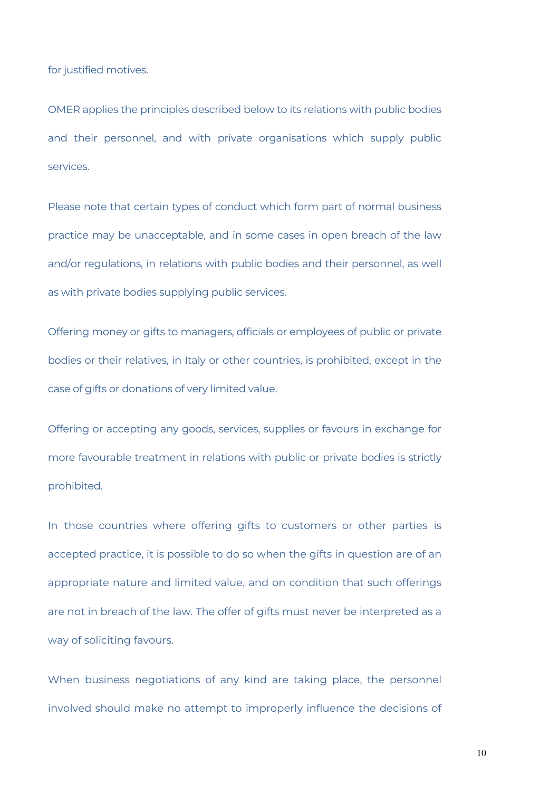for justified motives.

OMER applies the principles described below to its relations with public bodies and their personnel, and with private organisations which supply public services.

Please note that certain types of conduct which form part of normal business practice may be unacceptable, and in some cases in open breach of the law and/or regulations, in relations with public bodies and their personnel, as well as with private bodies supplying public services.

Offering money or gifts to managers, officials or employees of public or private bodies or their relatives, in Italy or other countries, is prohibited, except in the case of gifts or donations of very limited value.

Offering or accepting any goods, services, supplies or favours in exchange for more favourable treatment in relations with public or private bodies is strictly prohibited.

In those countries where offering gifts to customers or other parties is accepted practice, it is possible to do so when the gifts in question are of an appropriate nature and limited value, and on condition that such offerings are not in breach of the law. The offer of gifts must never be interpreted as a way of soliciting favours.

When business negotiations of any kind are taking place, the personnel involved should make no attempt to improperly influence the decisions of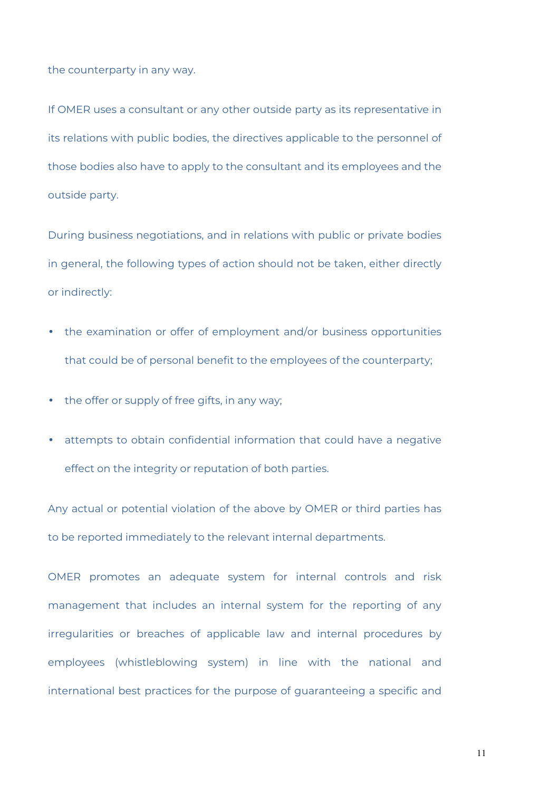the counterparty in any way.

If OMER uses a consultant or any other outside party as its representative in its relations with public bodies, the directives applicable to the personnel of those bodies also have to apply to the consultant and its employees and the outside party.

During business negotiations, and in relations with public or private bodies in general, the following types of action should not be taken, either directly or indirectly:

- the examination or offer of employment and/or business opportunities that could be of personal benefit to the employees of the counterparty;
- the offer or supply of free gifts, in any way;
- attempts to obtain confidential information that could have a negative effect on the integrity or reputation of both parties.

Any actual or potential violation of the above by OMER or third parties has to be reported immediately to the relevant internal departments.

OMER promotes an adequate system for internal controls and risk management that includes an internal system for the reporting of any irregularities or breaches of applicable law and internal procedures by employees (whistleblowing system) in line with the national and international best practices for the purpose of guaranteeing a specific and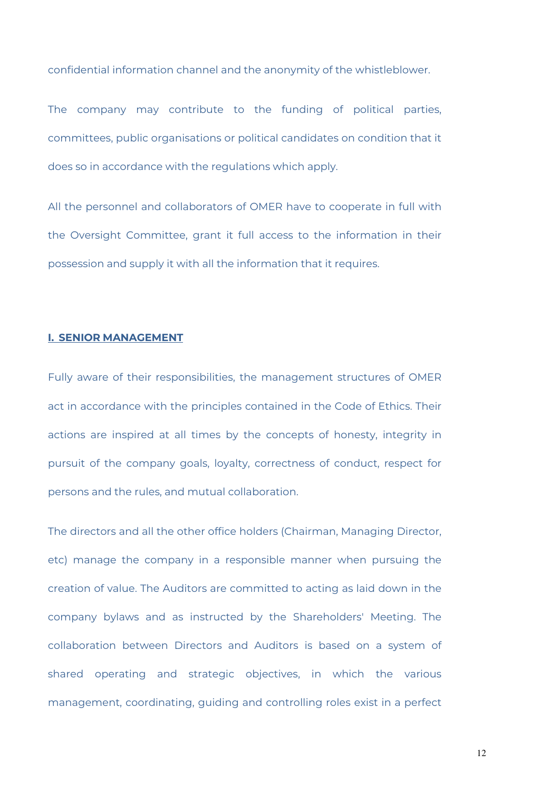confidential information channel and the anonymity of the whistleblower.

The company may contribute to the funding of political parties, committees, public organisations or political candidates on condition that it does so in accordance with the regulations which apply.

All the personnel and collaborators of OMER have to cooperate in full with the Oversight Committee, grant it full access to the information in their possession and supply it with all the information that it requires.

#### **I. SENIOR MANAGEMENT**

Fully aware of their responsibilities, the management structures of OMER act in accordance with the principles contained in the Code of Ethics. Their actions are inspired at all times by the concepts of honesty, integrity in pursuit of the company goals, loyalty, correctness of conduct, respect for persons and the rules, and mutual collaboration.

The directors and all the other office holders (Chairman, Managing Director, etc) manage the company in a responsible manner when pursuing the creation of value. The Auditors are committed to acting as laid down in the company bylaws and as instructed by the Shareholders' Meeting. The collaboration between Directors and Auditors is based on a system of shared operating and strategic objectives, in which the various management, coordinating, guiding and controlling roles exist in a perfect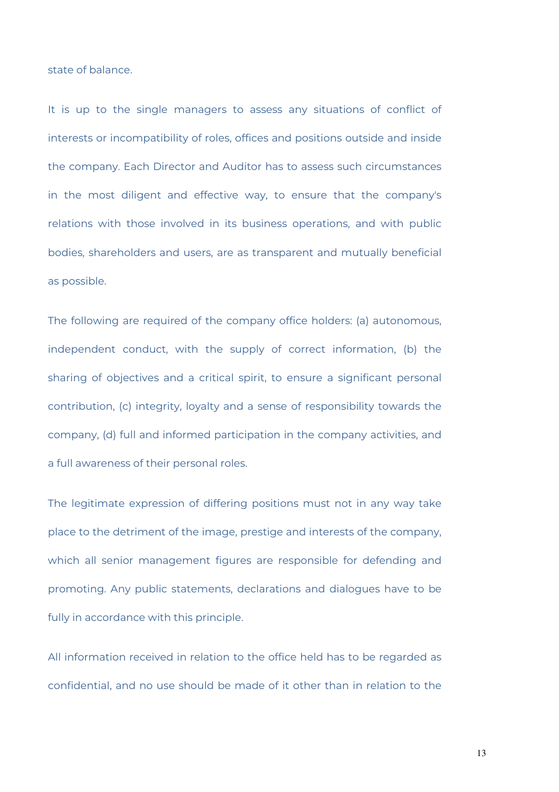state of balance.

It is up to the single managers to assess any situations of conflict of interests or incompatibility of roles, offices and positions outside and inside the company. Each Director and Auditor has to assess such circumstances in the most diligent and effective way, to ensure that the company's relations with those involved in its business operations, and with public bodies, shareholders and users, are as transparent and mutually beneficial as possible.

The following are required of the company office holders: (a) autonomous, independent conduct, with the supply of correct information, (b) the sharing of objectives and a critical spirit, to ensure a significant personal contribution, (c) integrity, loyalty and a sense of responsibility towards the company, (d) full and informed participation in the company activities, and a full awareness of their personal roles.

The legitimate expression of differing positions must not in any way take place to the detriment of the image, prestige and interests of the company, which all senior management figures are responsible for defending and promoting. Any public statements, declarations and dialogues have to be fully in accordance with this principle.

All information received in relation to the office held has to be regarded as confidential, and no use should be made of it other than in relation to the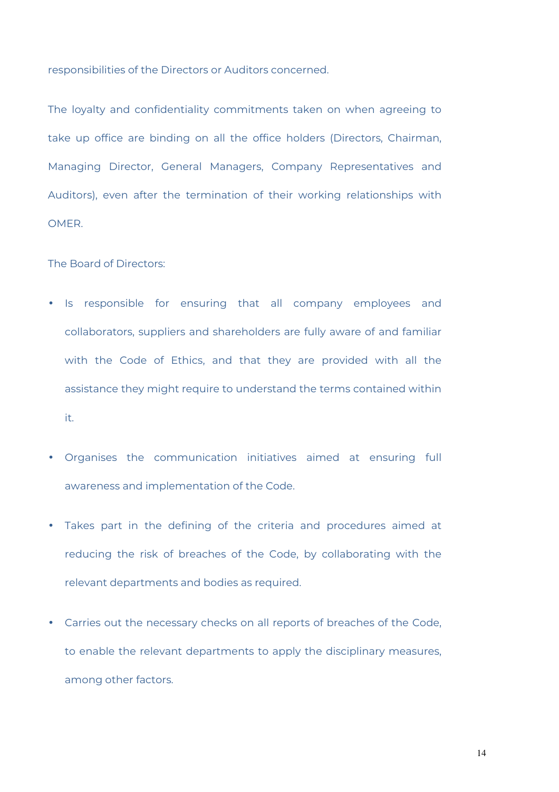responsibilities of the Directors or Auditors concerned.

The loyalty and confidentiality commitments taken on when agreeing to take up office are binding on all the office holders (Directors, Chairman, Managing Director, General Managers, Company Representatives and Auditors), even after the termination of their working relationships with OMER.

The Board of Directors:

- Is responsible for ensuring that all company employees and collaborators, suppliers and shareholders are fully aware of and familiar with the Code of Ethics, and that they are provided with all the assistance they might require to understand the terms contained within it.
- Organises the communication initiatives aimed at ensuring full awareness and implementation of the Code.
- Takes part in the defining of the criteria and procedures aimed at reducing the risk of breaches of the Code, by collaborating with the relevant departments and bodies as required.
- Carries out the necessary checks on all reports of breaches of the Code, to enable the relevant departments to apply the disciplinary measures, among other factors.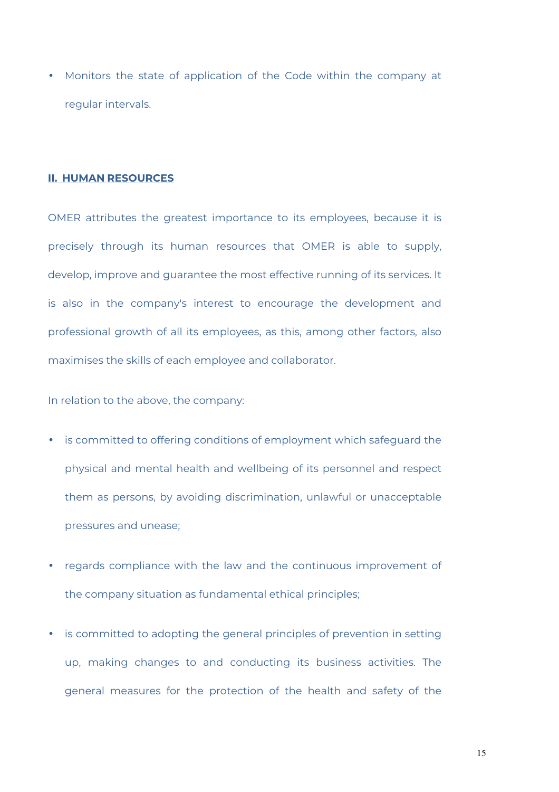• Monitors the state of application of the Code within the company at regular intervals.

#### **II. HUMAN RESOURCES**

OMER attributes the greatest importance to its employees, because it is precisely through its human resources that OMER is able to supply, develop, improve and guarantee the most effective running of its services. It is also in the company's interest to encourage the development and professional growth of all its employees, as this, among other factors, also maximises the skills of each employee and collaborator.

In relation to the above, the company:

- is committed to offering conditions of employment which safeguard the physical and mental health and wellbeing of its personnel and respect them as persons, by avoiding discrimination, unlawful or unacceptable pressures and unease;
- regards compliance with the law and the continuous improvement of the company situation as fundamental ethical principles;
- is committed to adopting the general principles of prevention in setting up, making changes to and conducting its business activities. The general measures for the protection of the health and safety of the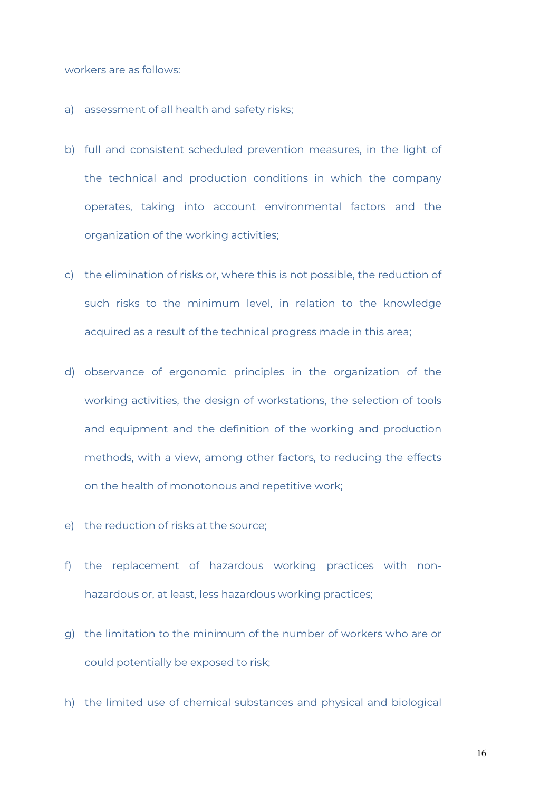workers are as follows:

- a) assessment of all health and safety risks;
- b) full and consistent scheduled prevention measures, in the light of the technical and production conditions in which the company operates, taking into account environmental factors and the organization of the working activities;
- c) the elimination of risks or, where this is not possible, the reduction of such risks to the minimum level, in relation to the knowledge acquired as a result of the technical progress made in this area;
- d) observance of ergonomic principles in the organization of the working activities, the design of workstations, the selection of tools and equipment and the definition of the working and production methods, with a view, among other factors, to reducing the effects on the health of monotonous and repetitive work;
- e) the reduction of risks at the source;
- f) the replacement of hazardous working practices with nonhazardous or, at least, less hazardous working practices;
- g) the limitation to the minimum of the number of workers who are or could potentially be exposed to risk;
- h) the limited use of chemical substances and physical and biological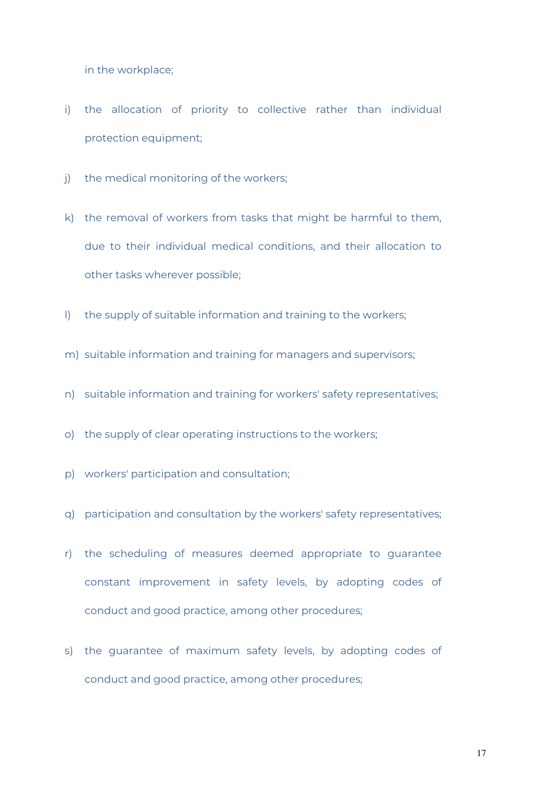in the workplace;

- i) the allocation of priority to collective rather than individual protection equipment;
- j) the medical monitoring of the workers;
- k) the removal of workers from tasks that might be harmful to them, due to their individual medical conditions, and their allocation to other tasks wherever possible;
- l) the supply of suitable information and training to the workers;
- m) suitable information and training for managers and supervisors;
- n) suitable information and training for workers' safety representatives;
- o) the supply of clear operating instructions to the workers;
- p) workers' participation and consultation;
- q) participation and consultation by the workers' safety representatives;
- r) the scheduling of measures deemed appropriate to guarantee constant improvement in safety levels, by adopting codes of conduct and good practice, among other procedures;
- s) the guarantee of maximum safety levels, by adopting codes of conduct and good practice, among other procedures;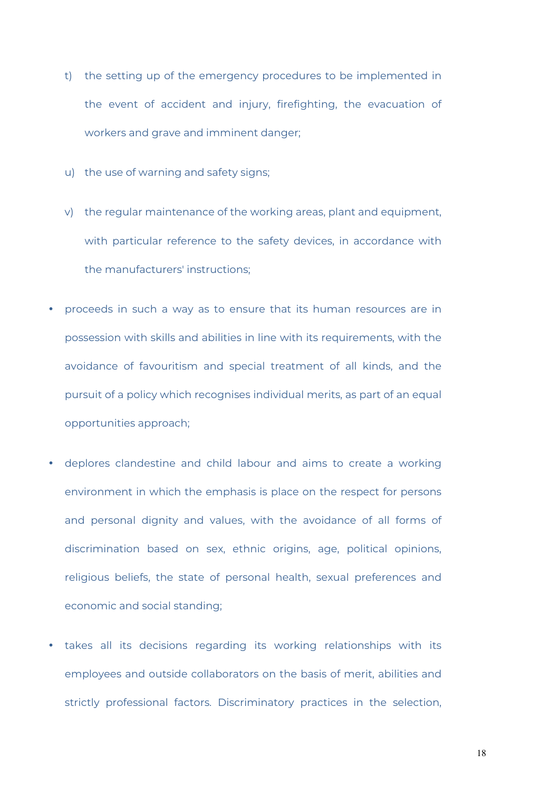- t) the setting up of the emergency procedures to be implemented in the event of accident and injury, firefighting, the evacuation of workers and grave and imminent danger;
- u) the use of warning and safety signs;
- v) the regular maintenance of the working areas, plant and equipment, with particular reference to the safety devices, in accordance with the manufacturers' instructions;
- proceeds in such a way as to ensure that its human resources are in possession with skills and abilities in line with its requirements, with the avoidance of favouritism and special treatment of all kinds, and the pursuit of a policy which recognises individual merits, as part of an equal opportunities approach;
- deplores clandestine and child labour and aims to create a working environment in which the emphasis is place on the respect for persons and personal dignity and values, with the avoidance of all forms of discrimination based on sex, ethnic origins, age, political opinions, religious beliefs, the state of personal health, sexual preferences and economic and social standing;
- takes all its decisions regarding its working relationships with its employees and outside collaborators on the basis of merit, abilities and strictly professional factors. Discriminatory practices in the selection,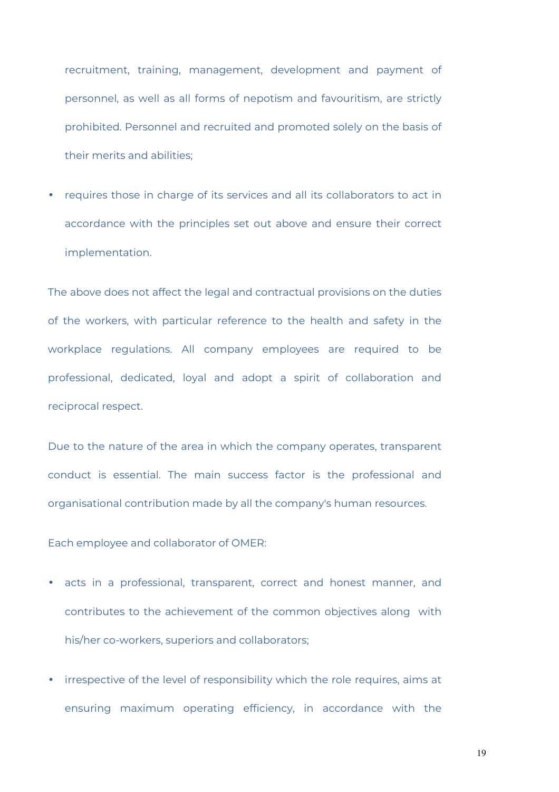recruitment, training, management, development and payment of personnel, as well as all forms of nepotism and favouritism, are strictly prohibited. Personnel and recruited and promoted solely on the basis of their merits and abilities;

• requires those in charge of its services and all its collaborators to act in accordance with the principles set out above and ensure their correct implementation.

The above does not affect the legal and contractual provisions on the duties of the workers, with particular reference to the health and safety in the workplace regulations. All company employees are required to be professional, dedicated, loyal and adopt a spirit of collaboration and reciprocal respect.

Due to the nature of the area in which the company operates, transparent conduct is essential. The main success factor is the professional and organisational contribution made by all the company's human resources.

Each employee and collaborator of OMER:

- acts in a professional, transparent, correct and honest manner, and contributes to the achievement of the common objectives along with his/her co-workers, superiors and collaborators;
- irrespective of the level of responsibility which the role requires, aims at ensuring maximum operating efficiency, in accordance with the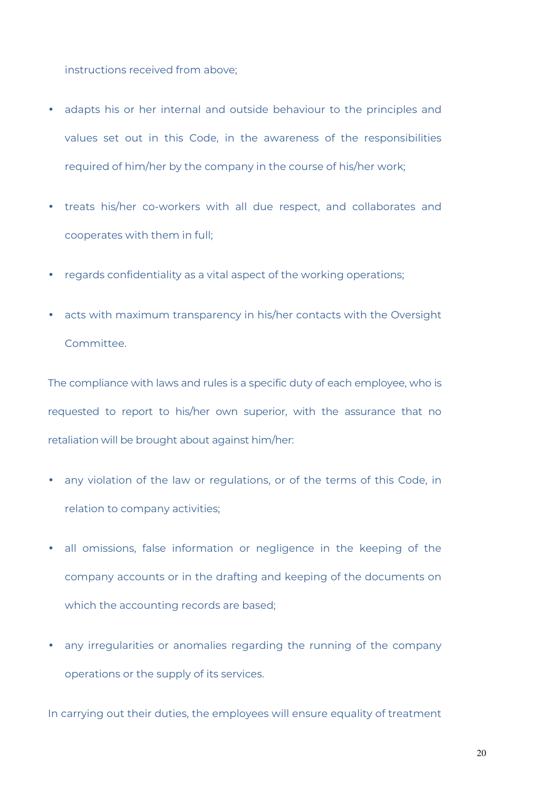instructions received from above;

- adapts his or her internal and outside behaviour to the principles and values set out in this Code, in the awareness of the responsibilities required of him/her by the company in the course of his/her work;
- treats his/her co-workers with all due respect, and collaborates and cooperates with them in full;
- regards confidentiality as a vital aspect of the working operations;
- acts with maximum transparency in his/her contacts with the Oversight Committee.

The compliance with laws and rules is a specific duty of each employee, who is requested to report to his/her own superior, with the assurance that no retaliation will be brought about against him/her:

- any violation of the law or regulations, or of the terms of this Code, in relation to company activities;
- all omissions, false information or negligence in the keeping of the company accounts or in the drafting and keeping of the documents on which the accounting records are based;
- any irregularities or anomalies regarding the running of the company operations or the supply of its services.

In carrying out their duties, the employees will ensure equality of treatment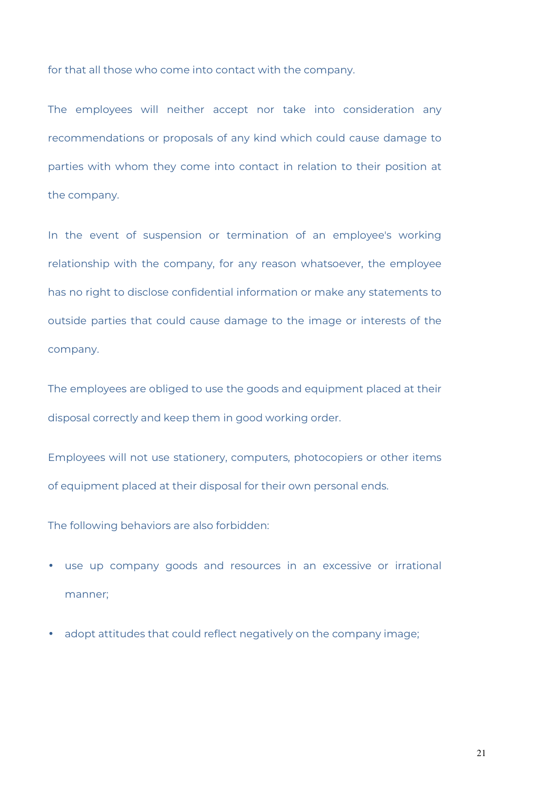for that all those who come into contact with the company.

The employees will neither accept nor take into consideration any recommendations or proposals of any kind which could cause damage to parties with whom they come into contact in relation to their position at the company.

In the event of suspension or termination of an employee's working relationship with the company, for any reason whatsoever, the employee has no right to disclose confidential information or make any statements to outside parties that could cause damage to the image or interests of the company.

The employees are obliged to use the goods and equipment placed at their disposal correctly and keep them in good working order.

Employees will not use stationery, computers, photocopiers or other items of equipment placed at their disposal for their own personal ends.

The following behaviors are also forbidden:

- use up company goods and resources in an excessive or irrational manner;
- adopt attitudes that could reflect negatively on the company image;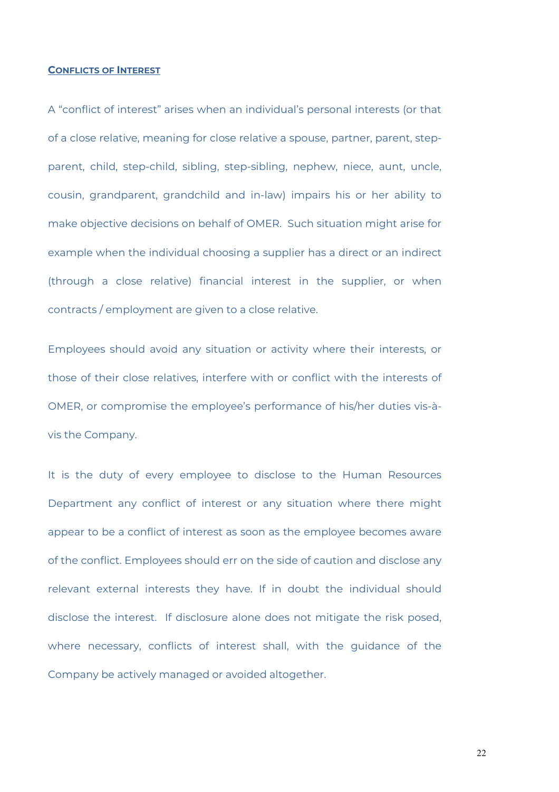#### **CONFLICTS OF INTEREST**

A "conflict of interest" arises when an individual's personal interests (or that of a close relative, meaning for close relative a spouse, partner, parent, stepparent, child, step-child, sibling, step-sibling, nephew, niece, aunt, uncle, cousin, grandparent, grandchild and in-law) impairs his or her ability to make objective decisions on behalf of OMER. Such situation might arise for example when the individual choosing a supplier has a direct or an indirect (through a close relative) financial interest in the supplier, or when contracts / employment are given to a close relative.

Employees should avoid any situation or activity where their interests, or those of their close relatives, interfere with or conflict with the interests of OMER, or compromise the employee's performance of his/her duties vis-àvis the Company.

It is the duty of every employee to disclose to the Human Resources Department any conflict of interest or any situation where there might appear to be a conflict of interest as soon as the employee becomes aware of the conflict. Employees should err on the side of caution and disclose any relevant external interests they have. If in doubt the individual should disclose the interest. If disclosure alone does not mitigate the risk posed, where necessary, conflicts of interest shall, with the guidance of the Company be actively managed or avoided altogether.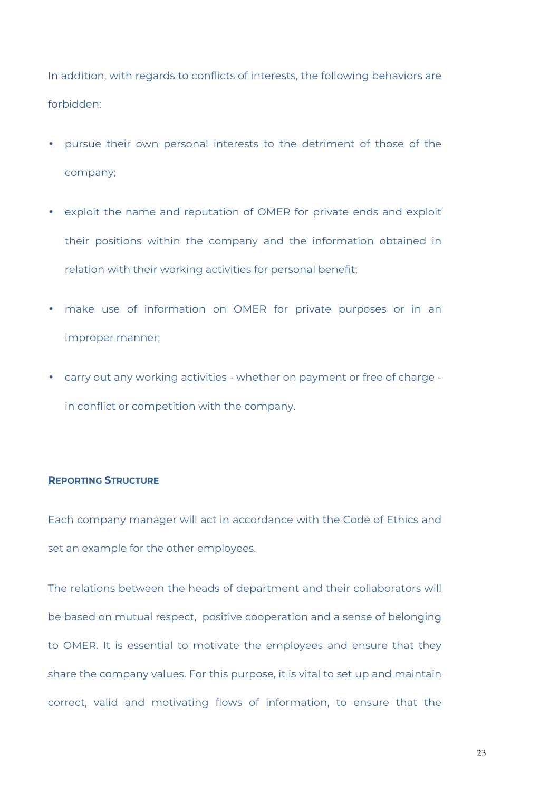In addition, with regards to conflicts of interests, the following behaviors are forbidden:

- pursue their own personal interests to the detriment of those of the company;
- exploit the name and reputation of OMER for private ends and exploit their positions within the company and the information obtained in relation with their working activities for personal benefit;
- make use of information on OMER for private purposes or in an improper manner;
- carry out any working activities whether on payment or free of charge in conflict or competition with the company.

#### **REPORTING STRUCTURE**

Each company manager will act in accordance with the Code of Ethics and set an example for the other employees.

The relations between the heads of department and their collaborators will be based on mutual respect, positive cooperation and a sense of belonging to OMER. It is essential to motivate the employees and ensure that they share the company values. For this purpose, it is vital to set up and maintain correct, valid and motivating flows of information, to ensure that the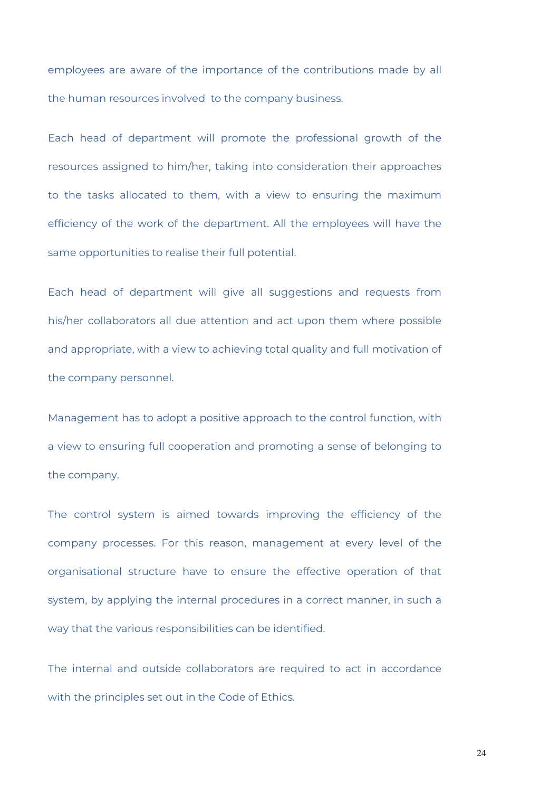employees are aware of the importance of the contributions made by all the human resources involved to the company business.

Each head of department will promote the professional growth of the resources assigned to him/her, taking into consideration their approaches to the tasks allocated to them, with a view to ensuring the maximum efficiency of the work of the department. All the employees will have the same opportunities to realise their full potential.

Each head of department will give all suggestions and requests from his/her collaborators all due attention and act upon them where possible and appropriate, with a view to achieving total quality and full motivation of the company personnel.

Management has to adopt a positive approach to the control function, with a view to ensuring full cooperation and promoting a sense of belonging to the company.

The control system is aimed towards improving the efficiency of the company processes. For this reason, management at every level of the organisational structure have to ensure the effective operation of that system, by applying the internal procedures in a correct manner, in such a way that the various responsibilities can be identified.

The internal and outside collaborators are required to act in accordance with the principles set out in the Code of Ethics.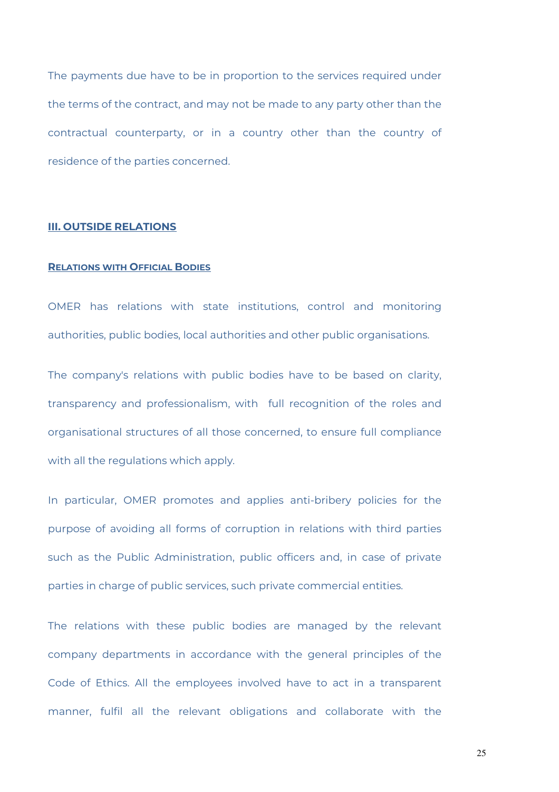The payments due have to be in proportion to the services required under the terms of the contract, and may not be made to any party other than the contractual counterparty, or in a country other than the country of residence of the parties concerned.

#### **III. OUTSIDE RELATIONS**

# **RELATIONS WITH OFFICIAL BODIES**

OMER has relations with state institutions, control and monitoring authorities, public bodies, local authorities and other public organisations.

The company's relations with public bodies have to be based on clarity, transparency and professionalism, with full recognition of the roles and organisational structures of all those concerned, to ensure full compliance with all the regulations which apply.

In particular, OMER promotes and applies anti-bribery policies for the purpose of avoiding all forms of corruption in relations with third parties such as the Public Administration, public officers and, in case of private parties in charge of public services, such private commercial entities.

The relations with these public bodies are managed by the relevant company departments in accordance with the general principles of the Code of Ethics. All the employees involved have to act in a transparent manner, fulfil all the relevant obligations and collaborate with the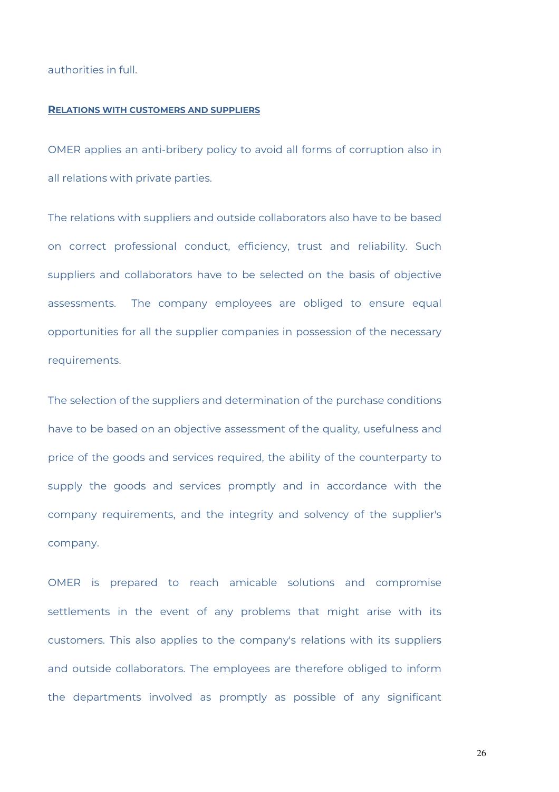authorities in full.

#### **RELATIONS WITH CUSTOMERS AND SUPPLIERS**

OMER applies an anti-bribery policy to avoid all forms of corruption also in all relations with private parties.

The relations with suppliers and outside collaborators also have to be based on correct professional conduct, efficiency, trust and reliability. Such suppliers and collaborators have to be selected on the basis of objective assessments. The company employees are obliged to ensure equal opportunities for all the supplier companies in possession of the necessary requirements.

The selection of the suppliers and determination of the purchase conditions have to be based on an objective assessment of the quality, usefulness and price of the goods and services required, the ability of the counterparty to supply the goods and services promptly and in accordance with the company requirements, and the integrity and solvency of the supplier's company.

OMER is prepared to reach amicable solutions and compromise settlements in the event of any problems that might arise with its customers. This also applies to the company's relations with its suppliers and outside collaborators. The employees are therefore obliged to inform the departments involved as promptly as possible of any significant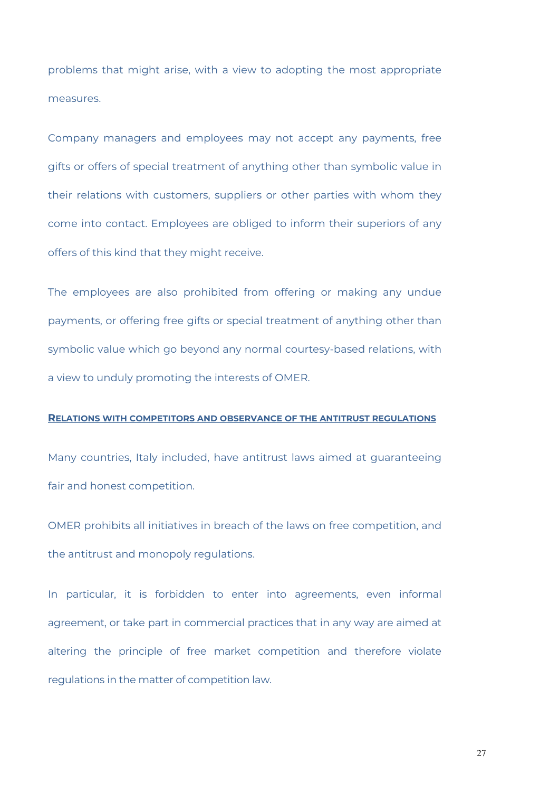problems that might arise, with a view to adopting the most appropriate measures.

Company managers and employees may not accept any payments, free gifts or offers of special treatment of anything other than symbolic value in their relations with customers, suppliers or other parties with whom they come into contact. Employees are obliged to inform their superiors of any offers of this kind that they might receive.

The employees are also prohibited from offering or making any undue payments, or offering free gifts or special treatment of anything other than symbolic value which go beyond any normal courtesy-based relations, with a view to unduly promoting the interests of OMER.

#### **RELATIONS WITH COMPETITORS AND OBSERVANCE OF THE ANTITRUST REGULATIONS**

Many countries, Italy included, have antitrust laws aimed at guaranteeing fair and honest competition.

OMER prohibits all initiatives in breach of the laws on free competition, and the antitrust and monopoly regulations.

In particular, it is forbidden to enter into agreements, even informal agreement, or take part in commercial practices that in any way are aimed at altering the principle of free market competition and therefore violate regulations in the matter of competition law.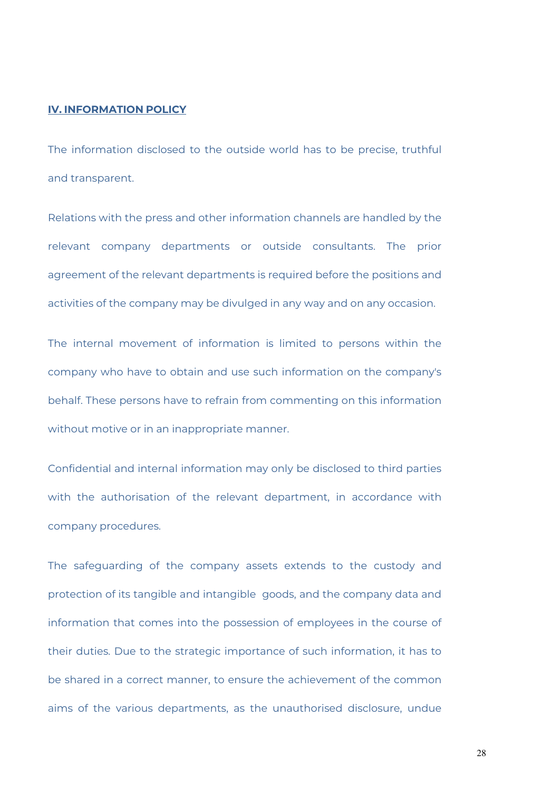# **IV. INFORMATION POLICY**

The information disclosed to the outside world has to be precise, truthful and transparent.

Relations with the press and other information channels are handled by the relevant company departments or outside consultants. The prior agreement of the relevant departments is required before the positions and activities of the company may be divulged in any way and on any occasion.

The internal movement of information is limited to persons within the company who have to obtain and use such information on the company's behalf. These persons have to refrain from commenting on this information without motive or in an inappropriate manner.

Confidential and internal information may only be disclosed to third parties with the authorisation of the relevant department, in accordance with company procedures.

The safeguarding of the company assets extends to the custody and protection of its tangible and intangible goods, and the company data and information that comes into the possession of employees in the course of their duties. Due to the strategic importance of such information, it has to be shared in a correct manner, to ensure the achievement of the common aims of the various departments, as the unauthorised disclosure, undue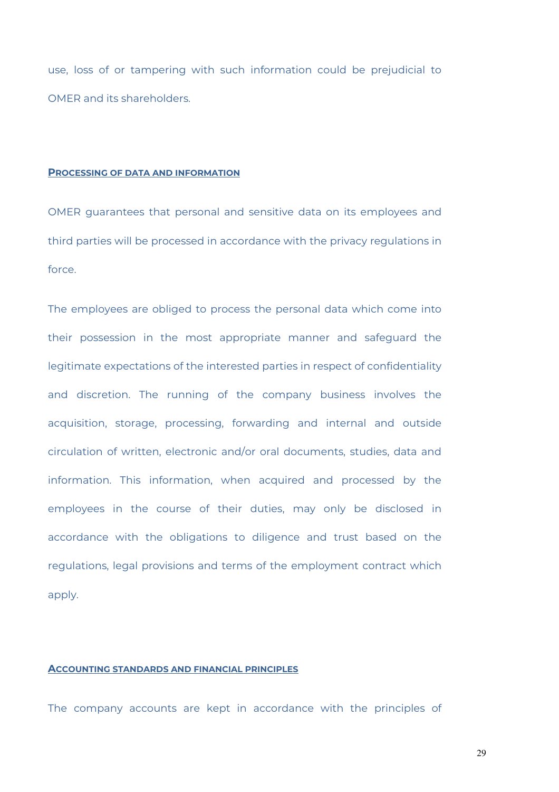use, loss of or tampering with such information could be prejudicial to OMER and its shareholders.

#### **PROCESSING OF DATA AND INFORMATION**

OMER guarantees that personal and sensitive data on its employees and third parties will be processed in accordance with the privacy regulations in force.

The employees are obliged to process the personal data which come into their possession in the most appropriate manner and safeguard the legitimate expectations of the interested parties in respect of confidentiality and discretion. The running of the company business involves the acquisition, storage, processing, forwarding and internal and outside circulation of written, electronic and/or oral documents, studies, data and information. This information, when acquired and processed by the employees in the course of their duties, may only be disclosed in accordance with the obligations to diligence and trust based on the regulations, legal provisions and terms of the employment contract which apply.

#### **ACCOUNTING STANDARDS AND FINANCIAL PRINCIPLES**

The company accounts are kept in accordance with the principles of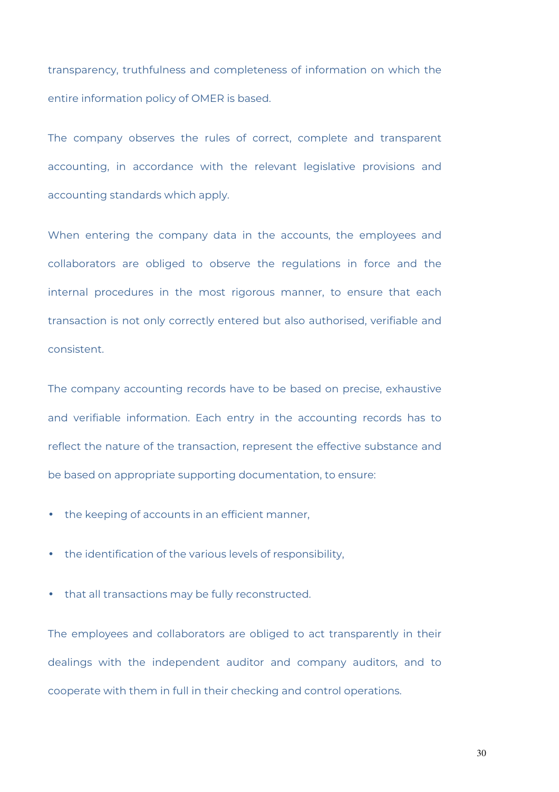transparency, truthfulness and completeness of information on which the entire information policy of OMER is based.

The company observes the rules of correct, complete and transparent accounting, in accordance with the relevant legislative provisions and accounting standards which apply.

When entering the company data in the accounts, the employees and collaborators are obliged to observe the regulations in force and the internal procedures in the most rigorous manner, to ensure that each transaction is not only correctly entered but also authorised, verifiable and consistent.

The company accounting records have to be based on precise, exhaustive and verifiable information. Each entry in the accounting records has to reflect the nature of the transaction, represent the effective substance and be based on appropriate supporting documentation, to ensure:

- the keeping of accounts in an efficient manner,
- the identification of the various levels of responsibility,
- that all transactions may be fully reconstructed.

The employees and collaborators are obliged to act transparently in their dealings with the independent auditor and company auditors, and to cooperate with them in full in their checking and control operations.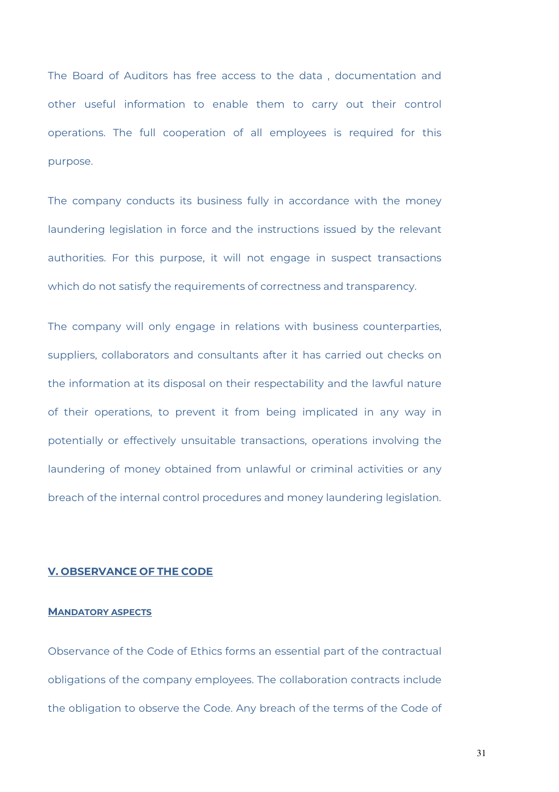The Board of Auditors has free access to the data , documentation and other useful information to enable them to carry out their control operations. The full cooperation of all employees is required for this purpose.

The company conducts its business fully in accordance with the money laundering legislation in force and the instructions issued by the relevant authorities. For this purpose, it will not engage in suspect transactions which do not satisfy the requirements of correctness and transparency.

The company will only engage in relations with business counterparties, suppliers, collaborators and consultants after it has carried out checks on the information at its disposal on their respectability and the lawful nature of their operations, to prevent it from being implicated in any way in potentially or effectively unsuitable transactions, operations involving the laundering of money obtained from unlawful or criminal activities or any breach of the internal control procedures and money laundering legislation.

# **V. OBSERVANCE OF THE CODE**

#### **MANDATORY ASPECTS**

Observance of the Code of Ethics forms an essential part of the contractual obligations of the company employees. The collaboration contracts include the obligation to observe the Code. Any breach of the terms of the Code of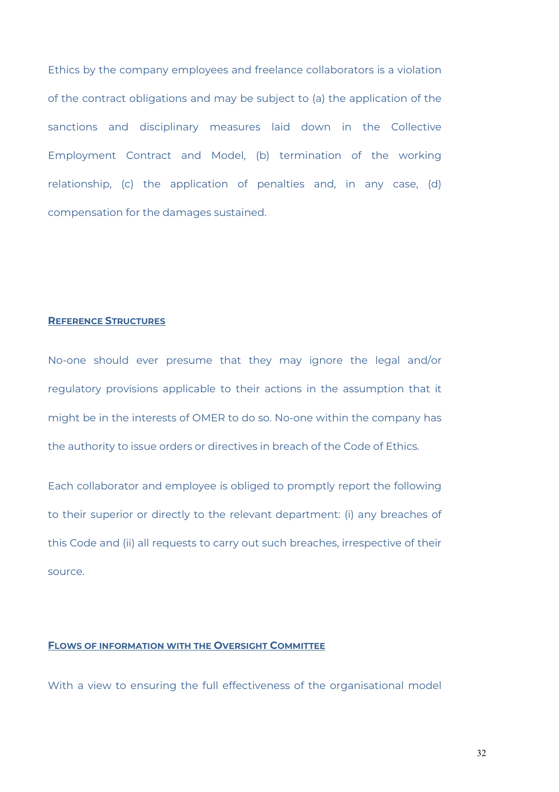Ethics by the company employees and freelance collaborators is a violation of the contract obligations and may be subject to (a) the application of the sanctions and disciplinary measures laid down in the Collective Employment Contract and Model, (b) termination of the working relationship, (c) the application of penalties and, in any case, (d) compensation for the damages sustained.

#### **REFERENCE STRUCTURES**

No-one should ever presume that they may ignore the legal and/or regulatory provisions applicable to their actions in the assumption that it might be in the interests of OMER to do so. No-one within the company has the authority to issue orders or directives in breach of the Code of Ethics.

Each collaborator and employee is obliged to promptly report the following to their superior or directly to the relevant department: (i) any breaches of this Code and (ii) all requests to carry out such breaches, irrespective of their source.

### **FLOWS OF INFORMATION WITH THE OVERSIGHT COMMITTEE**

With a view to ensuring the full effectiveness of the organisational model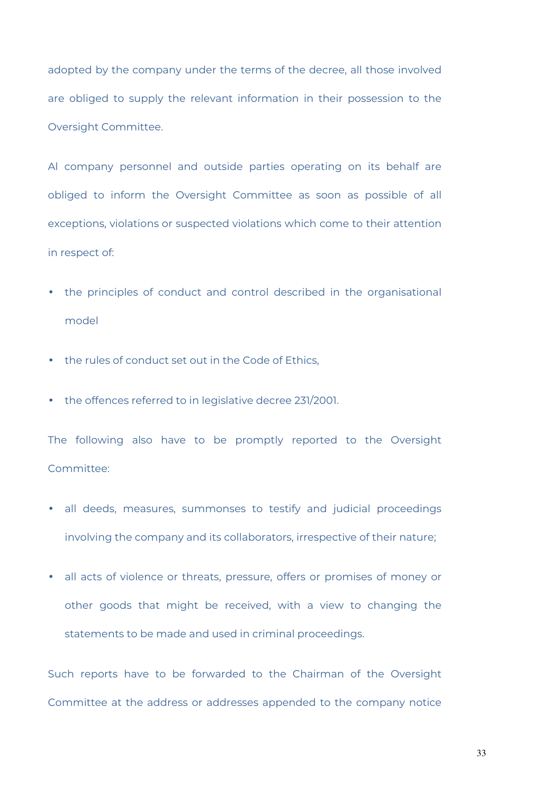adopted by the company under the terms of the decree, all those involved are obliged to supply the relevant information in their possession to the Oversight Committee.

Al company personnel and outside parties operating on its behalf are obliged to inform the Oversight Committee as soon as possible of all exceptions, violations or suspected violations which come to their attention in respect of:

- the principles of conduct and control described in the organisational model
- the rules of conduct set out in the Code of Ethics,
- the offences referred to in legislative decree 231/2001.

The following also have to be promptly reported to the Oversight Committee:

- all deeds, measures, summonses to testify and judicial proceedings involving the company and its collaborators, irrespective of their nature;
- all acts of violence or threats, pressure, offers or promises of money or other goods that might be received, with a view to changing the statements to be made and used in criminal proceedings.

Such reports have to be forwarded to the Chairman of the Oversight Committee at the address or addresses appended to the company notice